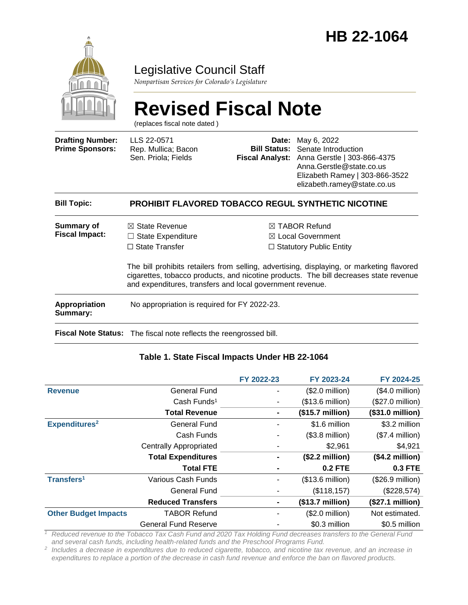

### Legislative Council Staff

*Nonpartisan Services for Colorado's Legislature*

# **Revised Fiscal Note**

(replaces fiscal note dated )

| <b>Drafting Number:</b><br><b>Prime Sponsors:</b> | LLS 22-0571<br>Rep. Mullica; Bacon<br>Sen. Priola; Fields                                                                                                                                                                                       | Date:<br><b>Bill Status:</b><br><b>Fiscal Analyst:</b> | May 6, 2022<br>Senate Introduction<br>Anna Gerstle   303-866-4375<br>Anna.Gerstle@state.co.us<br>Elizabeth Ramey   303-866-3522<br>elizabeth.ramey@state.co.us |
|---------------------------------------------------|-------------------------------------------------------------------------------------------------------------------------------------------------------------------------------------------------------------------------------------------------|--------------------------------------------------------|----------------------------------------------------------------------------------------------------------------------------------------------------------------|
| <b>Bill Topic:</b>                                |                                                                                                                                                                                                                                                 |                                                        | <b>PROHIBIT FLAVORED TOBACCO REGUL SYNTHETIC NICOTINE</b>                                                                                                      |
| Summary of<br><b>Fiscal Impact:</b>               | $\boxtimes$ State Revenue<br>$\Box$ State Expenditure<br>$\Box$ State Transfer                                                                                                                                                                  |                                                        | $\boxtimes$ TABOR Refund<br>$\boxtimes$ Local Government<br>$\Box$ Statutory Public Entity                                                                     |
|                                                   | The bill prohibits retailers from selling, advertising, displaying, or marketing flavored<br>cigarettes, tobacco products, and nicotine products. The bill decreases state revenue<br>and expenditures, transfers and local government revenue. |                                                        |                                                                                                                                                                |
| <b>Appropriation</b><br>Summary:                  | No appropriation is required for FY 2022-23.                                                                                                                                                                                                    |                                                        |                                                                                                                                                                |
|                                                   | Fiscal Note Status: The fiscal note reflects the reengrossed bill.                                                                                                                                                                              |                                                        |                                                                                                                                                                |

#### **Table 1. State Fiscal Impacts Under HB 22-1064**

|                             |                               | FY 2022-23 | FY 2023-24                | FY 2024-25                |
|-----------------------------|-------------------------------|------------|---------------------------|---------------------------|
| <b>Revenue</b>              | <b>General Fund</b>           |            | $($2.0$ million)          | $($4.0$ million)          |
|                             | Cash Funds <sup>1</sup>       |            | (\$13.6 million)          | $($27.0 \text{ million})$ |
|                             | <b>Total Revenue</b>          | ٠          | $($15.7 \text{ million})$ | (\$31.0 million)          |
| Expenditures <sup>2</sup>   | <b>General Fund</b>           |            | \$1.6 million             | \$3.2 million             |
|                             | Cash Funds                    |            | $($3.8 \text{ million})$  | $($7.4$ million)          |
|                             | <b>Centrally Appropriated</b> |            | \$2,961                   | \$4,921                   |
|                             | <b>Total Expenditures</b>     |            | (\$2.2 million)           | $($4.2$ million $)$       |
|                             | <b>Total FTE</b>              |            | <b>0.2 FTE</b>            | <b>0.3 FTE</b>            |
| Transfers <sup>1</sup>      | Various Cash Funds            |            | $($13.6 \text{ million})$ | (\$26.9 million)          |
|                             | General Fund                  |            | (\$118, 157)              | (\$228,574)               |
|                             | <b>Reduced Transfers</b>      |            | (\$13.7 million)          | (\$27.1 million)          |
| <b>Other Budget Impacts</b> | <b>TABOR Refund</b>           |            | $($2.0 \text{ million})$  | Not estimated.            |
|                             | <b>General Fund Reserve</b>   |            | \$0.3 million             | \$0.5 million             |

*<sup>1</sup> Reduced revenue to the Tobacco Tax Cash Fund and 2020 Tax Holding Fund decreases transfers to the General Fund and several cash funds, including health-related funds and the Preschool Programs Fund.*

*2 Includes a decrease in expenditures due to reduced cigarette, tobacco, and nicotine tax revenue, and an increase in expenditures to replace a portion of the decrease in cash fund revenue and enforce the ban on flavored products.*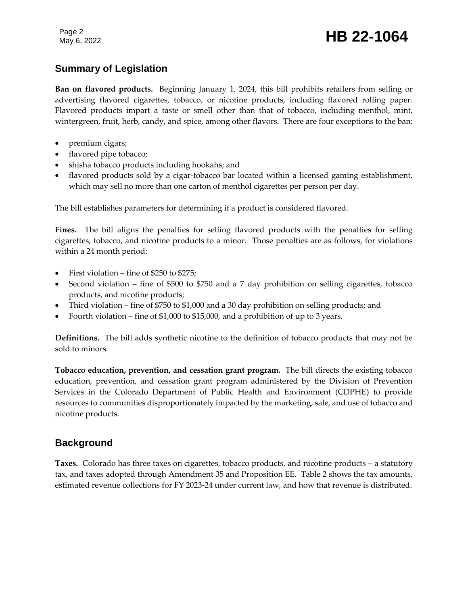Page 2

### Page 2<br>May 6, 2022 **HB 22-1064**

### **Summary of Legislation**

**Ban on flavored products.** Beginning January 1, 2024, this bill prohibits retailers from selling or advertising flavored cigarettes, tobacco, or nicotine products, including flavored rolling paper. Flavored products impart a taste or smell other than that of tobacco, including menthol, mint, wintergreen, fruit, herb, candy, and spice, among other flavors. There are four exceptions to the ban:

- premium cigars;
- flavored pipe tobacco;
- shisha tobacco products including hookahs; and
- flavored products sold by a cigar-tobacco bar located within a licensed gaming establishment, which may sell no more than one carton of menthol cigarettes per person per day.

The bill establishes parameters for determining if a product is considered flavored.

**Fines.** The bill aligns the penalties for selling flavored products with the penalties for selling cigarettes, tobacco, and nicotine products to a minor. Those penalties are as follows, for violations within a 24 month period:

- First violation fine of \$250 to \$275;
- Second violation fine of \$500 to \$750 and a 7 day prohibition on selling cigarettes, tobacco products, and nicotine products;
- Third violation fine of \$750 to \$1,000 and a 30 day prohibition on selling products; and
- Fourth violation fine of \$1,000 to \$15,000, and a prohibition of up to 3 years.

**Definitions.** The bill adds synthetic nicotine to the definition of tobacco products that may not be sold to minors.

**Tobacco education, prevention, and cessation grant program.** The bill directs the existing tobacco education, prevention, and cessation grant program administered by the Division of Prevention Services in the Colorado Department of Public Health and Environment (CDPHE) to provide resources to communities disproportionately impacted by the marketing, sale, and use of tobacco and nicotine products.

### **Background**

**Taxes.** Colorado has three taxes on cigarettes, tobacco products, and nicotine products – a statutory tax, and taxes adopted through Amendment 35 and Proposition EE. Table 2 shows the tax amounts, estimated revenue collections for FY 2023-24 under current law, and how that revenue is distributed.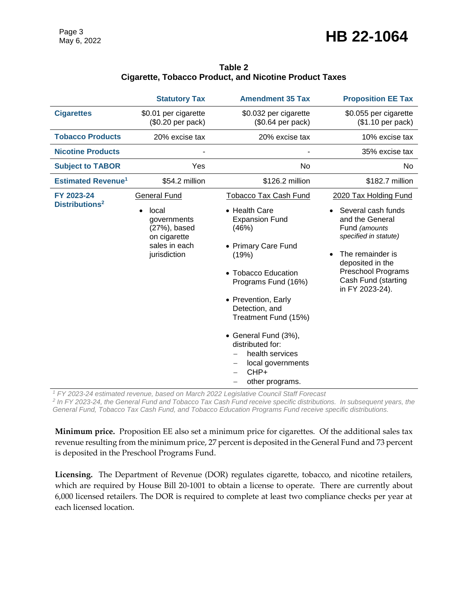|                                          | <b>Statutory Tax</b>                                                                                                      | <b>Amendment 35 Tax</b>                                                                                                                                                                                                                                                                                                                       | <b>Proposition EE Tax</b>                                                                                                                                                                                               |
|------------------------------------------|---------------------------------------------------------------------------------------------------------------------------|-----------------------------------------------------------------------------------------------------------------------------------------------------------------------------------------------------------------------------------------------------------------------------------------------------------------------------------------------|-------------------------------------------------------------------------------------------------------------------------------------------------------------------------------------------------------------------------|
| <b>Cigarettes</b>                        | \$0.01 per cigarette<br>(\$0.20 per pack)                                                                                 | \$0.032 per cigarette<br>(\$0.64 per pack)                                                                                                                                                                                                                                                                                                    | \$0.055 per cigarette<br>(\$1.10 per pack)                                                                                                                                                                              |
| <b>Tobacco Products</b>                  | 20% excise tax                                                                                                            | 20% excise tax                                                                                                                                                                                                                                                                                                                                | 10% excise tax                                                                                                                                                                                                          |
| <b>Nicotine Products</b>                 |                                                                                                                           |                                                                                                                                                                                                                                                                                                                                               | 35% excise tax                                                                                                                                                                                                          |
| <b>Subject to TABOR</b>                  | Yes                                                                                                                       | No                                                                                                                                                                                                                                                                                                                                            | No.                                                                                                                                                                                                                     |
| <b>Estimated Revenue<sup>1</sup></b>     | \$54.2 million                                                                                                            | \$126.2 million                                                                                                                                                                                                                                                                                                                               | \$182.7 million                                                                                                                                                                                                         |
| FY 2023-24<br>Distributions <sup>2</sup> | <b>General Fund</b><br>local<br>$\bullet$<br>governments<br>(27%), based<br>on cigarette<br>sales in each<br>jurisdiction | <b>Tobacco Tax Cash Fund</b><br>• Health Care<br><b>Expansion Fund</b><br>(46%)<br>• Primary Care Fund<br>(19%)<br>• Tobacco Education<br>Programs Fund (16%)<br>• Prevention, Early<br>Detection, and<br>Treatment Fund (15%)<br>• General Fund (3%),<br>distributed for:<br>health services<br>local governments<br>CHP+<br>other programs. | 2020 Tax Holding Fund<br>Several cash funds<br>and the General<br>Fund (amounts<br>specified in statute)<br>The remainder is<br>deposited in the<br><b>Preschool Programs</b><br>Cash Fund (starting<br>in FY 2023-24). |

#### **Table 2 Cigarette, Tobacco Product, and Nicotine Product Taxes**

*<sup>1</sup> FY 2023-24 estimated revenue, based on March 2022 Legislative Council Staff Forecast*

<sup>2</sup> In FY 2023-24, the General Fund and Tobacco Tax Cash Fund receive specific distributions. In subsequent years, the *General Fund, Tobacco Tax Cash Fund, and Tobacco Education Programs Fund receive specific distributions.*

**Minimum price.** Proposition EE also set a minimum price for cigarettes. Of the additional sales tax revenue resulting from the minimum price, 27 percent is deposited in the General Fund and 73 percent is deposited in the Preschool Programs Fund.

**Licensing.** The Department of Revenue (DOR) regulates cigarette, tobacco, and nicotine retailers, which are required by House Bill 20-1001 to obtain a license to operate. There are currently about 6,000 licensed retailers. The DOR is required to complete at least two compliance checks per year at each licensed location.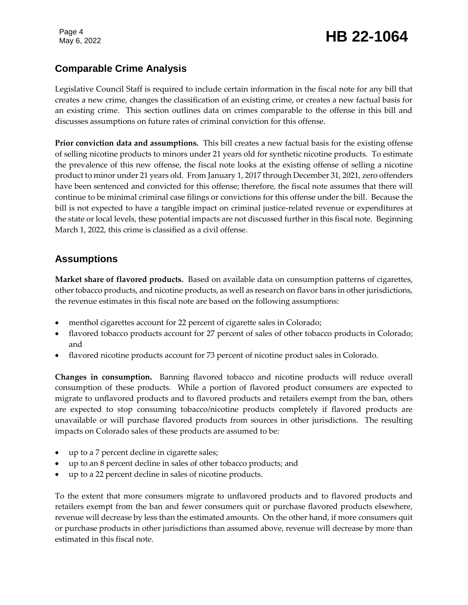## Page 4<br>May 6, 2022 **HB 22-1064**

### **Comparable Crime Analysis**

Legislative Council Staff is required to include certain information in the fiscal note for any bill that creates a new crime, changes the classification of an existing crime, or creates a new factual basis for an existing crime. This section outlines data on crimes comparable to the offense in this bill and discusses assumptions on future rates of criminal conviction for this offense.

**Prior conviction data and assumptions.** This bill creates a new factual basis for the existing offense of selling nicotine products to minors under 21 years old for synthetic nicotine products. To estimate the prevalence of this new offense, the fiscal note looks at the existing offense of selling a nicotine product to minor under 21 years old. From January 1, 2017 through December 31, 2021, zero offenders have been sentenced and convicted for this offense; therefore, the fiscal note assumes that there will continue to be minimal criminal case filings or convictions for this offense under the bill. Because the bill is not expected to have a tangible impact on criminal justice-related revenue or expenditures at the state or local levels, these potential impacts are not discussed further in this fiscal note. Beginning March 1, 2022, this crime is classified as a civil offense.

### **Assumptions**

**Market share of flavored products.** Based on available data on consumption patterns of cigarettes, other tobacco products, and nicotine products, as well as research on flavor bans in other jurisdictions, the revenue estimates in this fiscal note are based on the following assumptions:

- menthol cigarettes account for 22 percent of cigarette sales in Colorado;
- flavored tobacco products account for 27 percent of sales of other tobacco products in Colorado; and
- flavored nicotine products account for 73 percent of nicotine product sales in Colorado.

**Changes in consumption.** Banning flavored tobacco and nicotine products will reduce overall consumption of these products. While a portion of flavored product consumers are expected to migrate to unflavored products and to flavored products and retailers exempt from the ban, others are expected to stop consuming tobacco/nicotine products completely if flavored products are unavailable or will purchase flavored products from sources in other jurisdictions. The resulting impacts on Colorado sales of these products are assumed to be:

- up to a 7 percent decline in cigarette sales;
- up to an 8 percent decline in sales of other tobacco products; and
- up to a 22 percent decline in sales of nicotine products.

To the extent that more consumers migrate to unflavored products and to flavored products and retailers exempt from the ban and fewer consumers quit or purchase flavored products elsewhere, revenue will decrease by less than the estimated amounts. On the other hand, if more consumers quit or purchase products in other jurisdictions than assumed above, revenue will decrease by more than estimated in this fiscal note.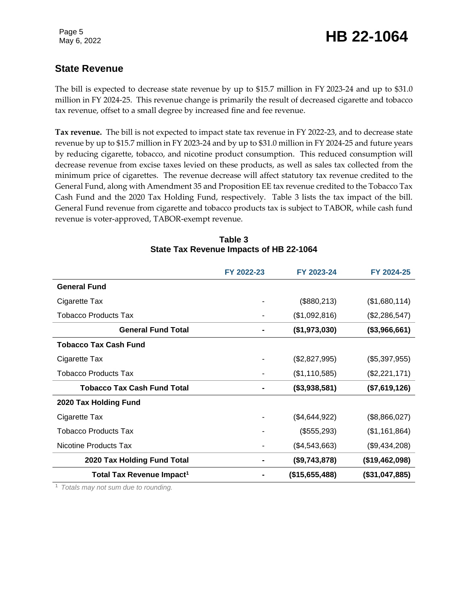### **State Revenue**

The bill is expected to decrease state revenue by up to \$15.7 million in FY 2023-24 and up to \$31.0 million in FY 2024-25. This revenue change is primarily the result of decreased cigarette and tobacco tax revenue, offset to a small degree by increased fine and fee revenue.

**Tax revenue.** The bill is not expected to impact state tax revenue in FY 2022-23, and to decrease state revenue by up to \$15.7 million in FY 2023-24 and by up to \$31.0 million in FY 2024-25 and future years by reducing cigarette, tobacco, and nicotine product consumption. This reduced consumption will decrease revenue from excise taxes levied on these products, as well as sales tax collected from the minimum price of cigarettes. The revenue decrease will affect statutory tax revenue credited to the General Fund, along with Amendment 35 and Proposition EE tax revenue credited to the Tobacco Tax Cash Fund and the 2020 Tax Holding Fund, respectively. Table 3 lists the tax impact of the bill. General Fund revenue from cigarette and tobacco products tax is subject to TABOR, while cash fund revenue is voter-approved, TABOR-exempt revenue.

|                                       | FY 2022-23 | FY 2023-24     | FY 2024-25     |
|---------------------------------------|------------|----------------|----------------|
| <b>General Fund</b>                   |            |                |                |
| Cigarette Tax                         |            | (\$880,213)    | (\$1,680,114)  |
| Tobacco Products Tax                  |            | (\$1,092,816)  | (\$2,286,547)  |
| <b>General Fund Total</b>             |            | (\$1,973,030)  | (\$3,966,661)  |
| <b>Tobacco Tax Cash Fund</b>          |            |                |                |
| Cigarette Tax                         |            | (\$2,827,995)  | (\$5,397,955)  |
| <b>Tobacco Products Tax</b>           |            | (\$1,110,585)  | (\$2,221,171)  |
| <b>Tobacco Tax Cash Fund Total</b>    |            | (\$3,938,581)  | (\$7,619,126)  |
| 2020 Tax Holding Fund                 |            |                |                |
| Cigarette Tax                         |            | (\$4,644,922)  | (\$8,866,027)  |
| Tobacco Products Tax                  |            | (\$555,293)    | (\$1,161,864)  |
| Nicotine Products Tax                 |            | (\$4,543,663)  | (\$9,434,208)  |
| 2020 Tax Holding Fund Total           |            | (\$9,743,878)  | (\$19,462,098) |
| Total Tax Revenue Impact <sup>1</sup> |            | (\$15,655,488) | (\$31,047,885) |

#### **Table 3 State Tax Revenue Impacts of HB 22-1064**

<sup>1</sup> *Totals may not sum due to rounding.*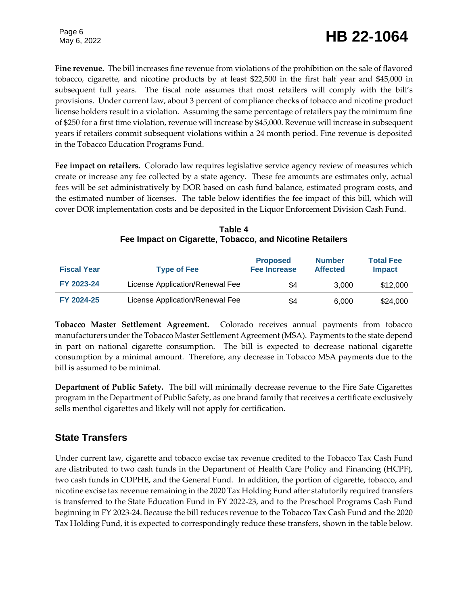**Fine revenue.** The bill increases fine revenue from violations of the prohibition on the sale of flavored tobacco, cigarette, and nicotine products by at least \$22,500 in the first half year and \$45,000 in subsequent full years. The fiscal note assumes that most retailers will comply with the bill's provisions. Under current law, about 3 percent of compliance checks of tobacco and nicotine product license holders result in a violation. Assuming the same percentage of retailers pay the minimum fine of \$250 for a first time violation, revenue will increase by \$45,000. Revenue will increase in subsequent years if retailers commit subsequent violations within a 24 month period. Fine revenue is deposited in the Tobacco Education Programs Fund.

**Fee impact on retailers.** Colorado law requires legislative service agency review of measures which create or increase any fee collected by a state agency. These fee amounts are estimates only, actual fees will be set administratively by DOR based on cash fund balance, estimated program costs, and the estimated number of licenses. The table below identifies the fee impact of this bill, which will cover DOR implementation costs and be deposited in the Liquor Enforcement Division Cash Fund.

| <b>Fiscal Year</b> | <b>Type of Fee</b>              | <b>Proposed</b><br><b>Fee Increase</b> | <b>Number</b><br><b>Affected</b> | <b>Total Fee</b><br><b>Impact</b> |
|--------------------|---------------------------------|----------------------------------------|----------------------------------|-----------------------------------|
| FY 2023-24         | License Application/Renewal Fee | \$4                                    | 3.000                            | \$12,000                          |
| FY 2024-25         | License Application/Renewal Fee | \$4                                    | 6.000                            | \$24,000                          |

**Table 4 Fee Impact on Cigarette, Tobacco, and Nicotine Retailers**

**Tobacco Master Settlement Agreement.** Colorado receives annual payments from tobacco manufacturers under the Tobacco Master Settlement Agreement (MSA). Payments to the state depend in part on national cigarette consumption. The bill is expected to decrease national cigarette consumption by a minimal amount. Therefore, any decrease in Tobacco MSA payments due to the bill is assumed to be minimal.

**Department of Public Safety.** The bill will minimally decrease revenue to the Fire Safe Cigarettes program in the Department of Public Safety, as one brand family that receives a certificate exclusively sells menthol cigarettes and likely will not apply for certification.

### **State Transfers**

Under current law, cigarette and tobacco excise tax revenue credited to the Tobacco Tax Cash Fund are distributed to two cash funds in the Department of Health Care Policy and Financing (HCPF), two cash funds in CDPHE, and the General Fund. In addition, the portion of cigarette, tobacco, and nicotine excise tax revenue remaining in the 2020 Tax Holding Fund after statutorily required transfers is transferred to the State Education Fund in FY 2022-23, and to the Preschool Programs Cash Fund beginning in FY 2023-24. Because the bill reduces revenue to the Tobacco Tax Cash Fund and the 2020 Tax Holding Fund, it is expected to correspondingly reduce these transfers, shown in the table below.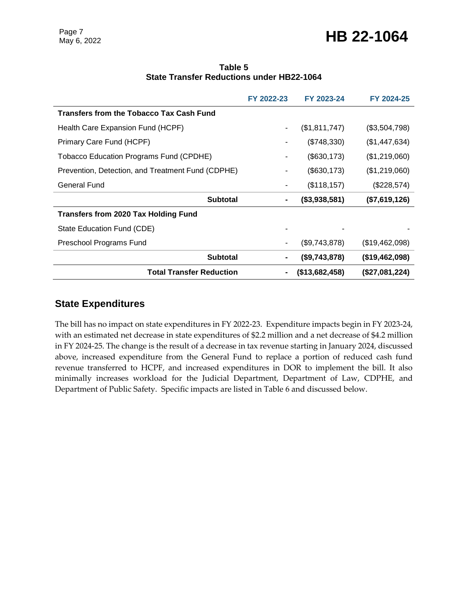### Page 7<br>May 6, 2022 **HB 22-1064**

|                                                  | Table 5 |  |
|--------------------------------------------------|---------|--|
| <b>State Transfer Reductions under HB22-1064</b> |         |  |

|                                                   | FY 2022-23               | FY 2023-24     | FY 2024-25     |
|---------------------------------------------------|--------------------------|----------------|----------------|
| Transfers from the Tobacco Tax Cash Fund          |                          |                |                |
| Health Care Expansion Fund (HCPF)                 | $\overline{\phantom{a}}$ | (\$1,811,747)  | (\$3,504,798)  |
| Primary Care Fund (HCPF)                          |                          | (\$748,330)    | (\$1,447,634)  |
| Tobacco Education Programs Fund (CPDHE)           | $\blacksquare$           | (\$630, 173)   | (\$1,219,060)  |
| Prevention, Detection, and Treatment Fund (CDPHE) | $\blacksquare$           | (\$630, 173)   | (\$1,219,060)  |
| General Fund                                      | ٠                        | (\$118, 157)   | (\$228,574)    |
| <b>Subtotal</b>                                   | ۰                        | (\$3,938,581)  | (\$7,619,126)  |
| <b>Transfers from 2020 Tax Holding Fund</b>       |                          |                |                |
| State Education Fund (CDE)                        |                          |                |                |
| Preschool Programs Fund                           |                          | (\$9,743,878)  | (\$19,462,098) |
| <b>Subtotal</b>                                   |                          | (\$9,743,878)  | (\$19,462,098) |
| Total Transfer Reduction                          | $\blacksquare$           | (\$13,682,458) | (\$27,081,224) |

#### **State Expenditures**

The bill has no impact on state expenditures in FY 2022-23. Expenditure impacts begin in FY 2023-24, with an estimated net decrease in state expenditures of \$2.2 million and a net decrease of \$4.2 million in FY 2024-25. The change is the result of a decrease in tax revenue starting in January 2024, discussed above, increased expenditure from the General Fund to replace a portion of reduced cash fund revenue transferred to HCPF, and increased expenditures in DOR to implement the bill. It also minimally increases workload for the Judicial Department, Department of Law, CDPHE, and Department of Public Safety. Specific impacts are listed in Table 6 and discussed below.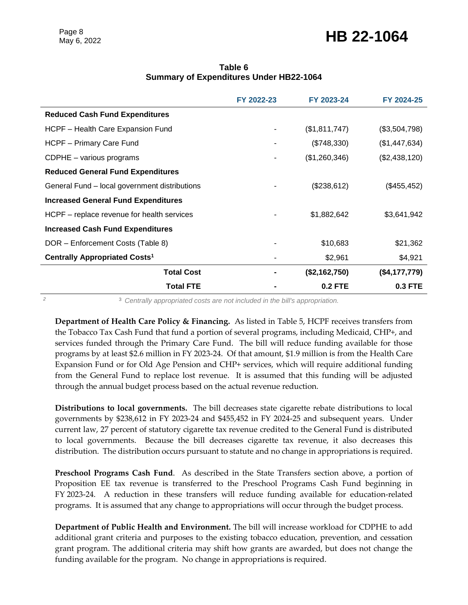### Page 8<br>May 6, 2022 **HB 22-1064**

#### **Table 6 Summary of Expenditures Under HB22-1064**

|                                                 | FY 2022-23 | FY 2023-24     | FY 2024-25    |
|-------------------------------------------------|------------|----------------|---------------|
| <b>Reduced Cash Fund Expenditures</b>           |            |                |               |
| HCPF - Health Care Expansion Fund               |            | (\$1,811,747)  | (\$3,504,798) |
| HCPF - Primary Care Fund                        |            | (\$748,330)    | (\$1,447,634) |
| CDPHE - various programs                        |            | (\$1,260,346)  | (\$2,438,120) |
| <b>Reduced General Fund Expenditures</b>        |            |                |               |
| General Fund – local government distributions   |            | (\$238,612)    | (\$455, 452)  |
| <b>Increased General Fund Expenditures</b>      |            |                |               |
| HCPF – replace revenue for health services      |            | \$1,882,642    | \$3,641,942   |
| <b>Increased Cash Fund Expenditures</b>         |            |                |               |
| DOR - Enforcement Costs (Table 8)               |            | \$10,683       | \$21,362      |
| <b>Centrally Appropriated Costs<sup>1</sup></b> |            | \$2,961        | \$4,921       |
| <b>Total Cost</b>                               |            | (\$2,162,750)  | (\$4,177,779) |
| <b>Total FTE</b>                                |            | <b>0.2 FTE</b> | 0.3 FTE       |

*<sup>2</sup>* <sup>3</sup> *Centrally appropriated costs are not included in the bill's appropriation.*

**Department of Health Care Policy & Financing.** As listed in Table 5, HCPF receives transfers from the Tobacco Tax Cash Fund that fund a portion of several programs, including Medicaid, CHP+, and services funded through the Primary Care Fund. The bill will reduce funding available for those programs by at least \$2.6 million in FY 2023-24. Of that amount, \$1.9 million is from the Health Care Expansion Fund or for Old Age Pension and CHP+ services, which will require additional funding from the General Fund to replace lost revenue. It is assumed that this funding will be adjusted through the annual budget process based on the actual revenue reduction.

**Distributions to local governments.** The bill decreases state cigarette rebate distributions to local governments by \$238,612 in FY 2023-24 and \$455,452 in FY 2024-25 and subsequent years. Under current law, 27 percent of statutory cigarette tax revenue credited to the General Fund is distributed to local governments. Because the bill decreases cigarette tax revenue, it also decreases this distribution. The distribution occurs pursuant to statute and no change in appropriations is required.

**Preschool Programs Cash Fund**. As described in the State Transfers section above, a portion of Proposition EE tax revenue is transferred to the Preschool Programs Cash Fund beginning in FY 2023-24. A reduction in these transfers will reduce funding available for education-related programs. It is assumed that any change to appropriations will occur through the budget process.

**Department of Public Health and Environment.** The bill will increase workload for CDPHE to add additional grant criteria and purposes to the existing tobacco education, prevention, and cessation grant program. The additional criteria may shift how grants are awarded, but does not change the funding available for the program. No change in appropriations is required.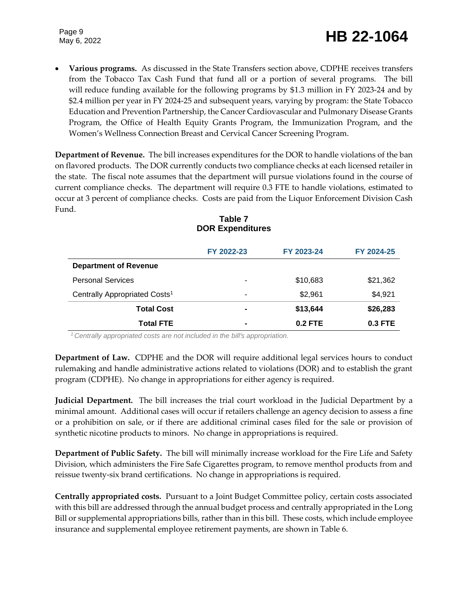Page 9

## Page 9<br>May 6, 2022 **HB 22-1064**

 **Various programs.** As discussed in the State Transfers section above, CDPHE receives transfers from the Tobacco Tax Cash Fund that fund all or a portion of several programs. The bill will reduce funding available for the following programs by \$1.3 million in FY 2023-24 and by \$2.4 million per year in FY 2024-25 and subsequent years, varying by program: the State Tobacco Education and Prevention Partnership, the Cancer Cardiovascular and Pulmonary Disease Grants Program, the Office of Health Equity Grants Program, the Immunization Program, and the Women's Wellness Connection Breast and Cervical Cancer Screening Program.

**Department of Revenue.** The bill increases expenditures for the DOR to handle violations of the ban on flavored products. The DOR currently conducts two compliance checks at each licensed retailer in the state. The fiscal note assumes that the department will pursue violations found in the course of current compliance checks. The department will require 0.3 FTE to handle violations, estimated to occur at 3 percent of compliance checks. Costs are paid from the Liquor Enforcement Division Cash Fund.

|                                           | FY 2022-23     | FY 2023-24 | FY 2024-25 |
|-------------------------------------------|----------------|------------|------------|
| <b>Department of Revenue</b>              |                |            |            |
| <b>Personal Services</b>                  | ۰              | \$10,683   | \$21,362   |
| Centrally Appropriated Costs <sup>1</sup> | ۰              | \$2,961    | \$4,921    |
| <b>Total Cost</b>                         | ٠              | \$13,644   | \$26,283   |
| <b>Total FTE</b>                          | $\blacksquare$ | $0.2$ FTE  | $0.3$ FTE  |

### **Table 7 DOR Expenditures**

*<sup>1</sup> Centrally appropriated costs are not included in the bill's appropriation.*

**Department of Law.** CDPHE and the DOR will require additional legal services hours to conduct rulemaking and handle administrative actions related to violations (DOR) and to establish the grant program (CDPHE). No change in appropriations for either agency is required.

**Judicial Department.** The bill increases the trial court workload in the Judicial Department by a minimal amount. Additional cases will occur if retailers challenge an agency decision to assess a fine or a prohibition on sale, or if there are additional criminal cases filed for the sale or provision of synthetic nicotine products to minors. No change in appropriations is required.

**Department of Public Safety.** The bill will minimally increase workload for the Fire Life and Safety Division, which administers the Fire Safe Cigarettes program, to remove menthol products from and reissue twenty-six brand certifications. No change in appropriations is required.

**Centrally appropriated costs.** Pursuant to a Joint Budget Committee policy, certain costs associated with this bill are addressed through the annual budget process and centrally appropriated in the Long Bill or supplemental appropriations bills, rather than in this bill. These costs, which include employee insurance and supplemental employee retirement payments, are shown in Table 6.